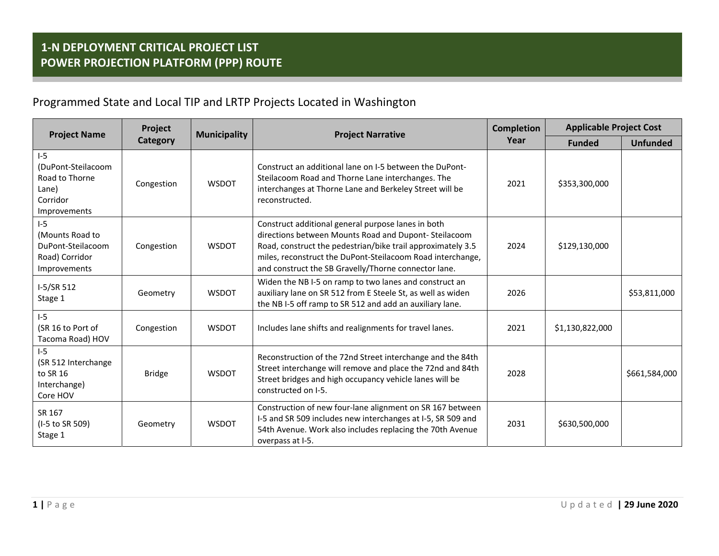## Programmed State and Local TIP and LRTP Projects Located in Washington

| <b>Project Name</b>                                                                | Project<br>Category | <b>Municipality</b> | <b>Project Narrative</b>                                                                                                                                                                                                                                                                        | <b>Completion</b><br>Year | <b>Applicable Project Cost</b> |                 |
|------------------------------------------------------------------------------------|---------------------|---------------------|-------------------------------------------------------------------------------------------------------------------------------------------------------------------------------------------------------------------------------------------------------------------------------------------------|---------------------------|--------------------------------|-----------------|
|                                                                                    |                     |                     |                                                                                                                                                                                                                                                                                                 |                           | <b>Funded</b>                  | <b>Unfunded</b> |
| $1-5$<br>(DuPont-Steilacoom<br>Road to Thorne<br>Lane)<br>Corridor<br>Improvements | Congestion          | <b>WSDOT</b>        | Construct an additional lane on I-5 between the DuPont-<br>Steilacoom Road and Thorne Lane interchanges. The<br>interchanges at Thorne Lane and Berkeley Street will be<br>reconstructed.                                                                                                       | 2021                      | \$353,300,000                  |                 |
| $I-5$<br>(Mounts Road to<br>DuPont-Steilacoom<br>Road) Corridor<br>Improvements    | Congestion          | <b>WSDOT</b>        | Construct additional general purpose lanes in both<br>directions between Mounts Road and Dupont-Steilacoom<br>Road, construct the pedestrian/bike trail approximately 3.5<br>miles, reconstruct the DuPont-Steilacoom Road interchange,<br>and construct the SB Gravelly/Thorne connector lane. | 2024                      | \$129,130,000                  |                 |
| I-5/SR 512<br>Stage 1                                                              | Geometry            | <b>WSDOT</b>        | Widen the NB I-5 on ramp to two lanes and construct an<br>auxiliary lane on SR 512 from E Steele St, as well as widen<br>the NB I-5 off ramp to SR 512 and add an auxiliary lane.                                                                                                               | 2026                      |                                | \$53,811,000    |
| $I-5$<br>(SR 16 to Port of<br>Tacoma Road) HOV                                     | Congestion          | <b>WSDOT</b>        | Includes lane shifts and realignments for travel lanes.                                                                                                                                                                                                                                         | 2021                      | \$1,130,822,000                |                 |
| $1-5$<br>(SR 512 Interchange<br>to SR 16<br>Interchange)<br>Core HOV               | <b>Bridge</b>       | <b>WSDOT</b>        | Reconstruction of the 72nd Street interchange and the 84th<br>Street interchange will remove and place the 72nd and 84th<br>Street bridges and high occupancy vehicle lanes will be<br>constructed on I-5.                                                                                      | 2028                      |                                | \$661,584,000   |
| SR 167<br>(I-5 to SR 509)<br>Stage 1                                               | Geometry            | <b>WSDOT</b>        | Construction of new four-lane alignment on SR 167 between<br>I-5 and SR 509 includes new interchanges at I-5, SR 509 and<br>54th Avenue. Work also includes replacing the 70th Avenue<br>overpass at I-5.                                                                                       | 2031                      | \$630,500,000                  |                 |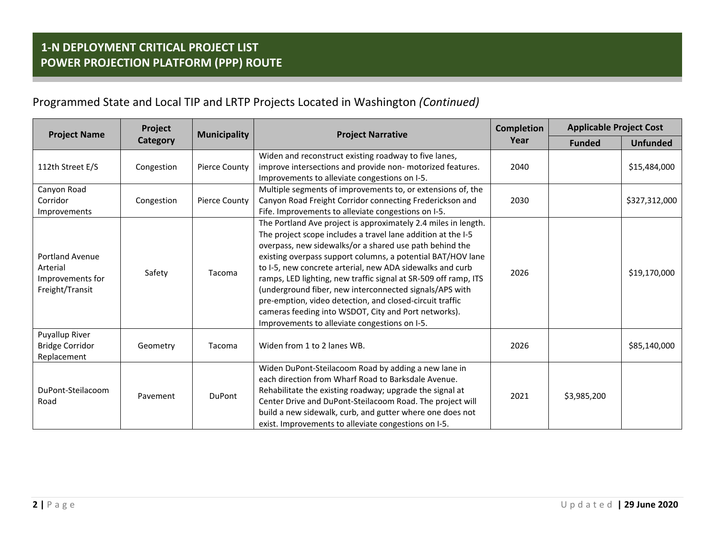## Programmed State and Local TIP and LRTP Projects Located in Washington *(Continued)*

| <b>Project Name</b>                                                       | Project<br><b>Category</b> | <b>Municipality</b>  | <b>Project Narrative</b>                                                                                                                                                                                                                                                                                                                                                                                                                                                                                                                                                                                                 | <b>Completion</b><br>Year | <b>Applicable Project Cost</b> |                 |
|---------------------------------------------------------------------------|----------------------------|----------------------|--------------------------------------------------------------------------------------------------------------------------------------------------------------------------------------------------------------------------------------------------------------------------------------------------------------------------------------------------------------------------------------------------------------------------------------------------------------------------------------------------------------------------------------------------------------------------------------------------------------------------|---------------------------|--------------------------------|-----------------|
|                                                                           |                            |                      |                                                                                                                                                                                                                                                                                                                                                                                                                                                                                                                                                                                                                          |                           | <b>Funded</b>                  | <b>Unfunded</b> |
| 112th Street E/S                                                          | Congestion                 | <b>Pierce County</b> | Widen and reconstruct existing roadway to five lanes,<br>improve intersections and provide non- motorized features.<br>Improvements to alleviate congestions on I-5.                                                                                                                                                                                                                                                                                                                                                                                                                                                     | 2040                      |                                | \$15,484,000    |
| Canyon Road<br>Corridor<br>Improvements                                   | Congestion                 | <b>Pierce County</b> | Multiple segments of improvements to, or extensions of, the<br>Canyon Road Freight Corridor connecting Frederickson and<br>Fife. Improvements to alleviate congestions on I-5.                                                                                                                                                                                                                                                                                                                                                                                                                                           | 2030                      |                                | \$327,312,000   |
| <b>Portland Avenue</b><br>Arterial<br>Improvements for<br>Freight/Transit | Safety                     | Tacoma               | The Portland Ave project is approximately 2.4 miles in length.<br>The project scope includes a travel lane addition at the I-5<br>overpass, new sidewalks/or a shared use path behind the<br>existing overpass support columns, a potential BAT/HOV lane<br>to I-5, new concrete arterial, new ADA sidewalks and curb<br>ramps, LED lighting, new traffic signal at SR-509 off ramp, ITS<br>(underground fiber, new interconnected signals/APS with<br>pre-emption, video detection, and closed-circuit traffic<br>cameras feeding into WSDOT, City and Port networks).<br>Improvements to alleviate congestions on I-5. | 2026                      |                                | \$19,170,000    |
| Puyallup River<br><b>Bridge Corridor</b><br>Replacement                   | Geometry                   | Tacoma               | Widen from 1 to 2 lanes WB.                                                                                                                                                                                                                                                                                                                                                                                                                                                                                                                                                                                              | 2026                      |                                | \$85,140,000    |
| DuPont-Steilacoom<br>Road                                                 | Pavement                   | <b>DuPont</b>        | Widen DuPont-Steilacoom Road by adding a new lane in<br>each direction from Wharf Road to Barksdale Avenue.<br>Rehabilitate the existing roadway; upgrade the signal at<br>Center Drive and DuPont-Steilacoom Road. The project will<br>build a new sidewalk, curb, and gutter where one does not<br>exist. Improvements to alleviate congestions on I-5.                                                                                                                                                                                                                                                                | 2021                      | \$3,985,200                    |                 |